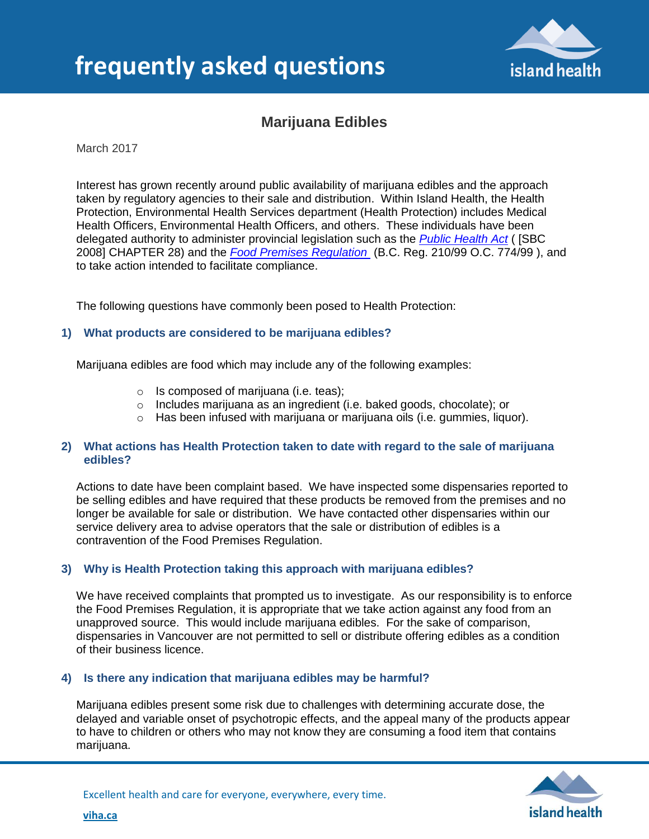

# **Marijuana Edibles**

March 2017

Interest has grown recently around public availability of marijuana edibles and the approach taken by regulatory agencies to their sale and distribution. Within Island Health, the Health Protection, Environmental Health Services department (Health Protection) includes Medical Health Officers, Environmental Health Officers, and others. These individuals have been delegated authority to administer provincial legislation such as the *[Public Health Act](http://www.bclaws.ca/civix/document/id/complete/statreg/00_08028_01)* ( [SBC 2008] CHAPTER 28) and the *[Food Premises Regulation](http://www.bclaws.ca/civix/document/id/loo82/loo82/11_210_99)* (B.C. Reg. 210/99 O.C. 774/99 ), and to take action intended to facilitate compliance.

The following questions have commonly been posed to Health Protection:

#### **1) What products are considered to be marijuana edibles?**

Marijuana edibles are food which may include any of the following examples:

- $\circ$  Is composed of marijuana (i.e. teas);
- o Includes marijuana as an ingredient (i.e. baked goods, chocolate); or
- o Has been infused with marijuana or marijuana oils (i.e. gummies, liquor).

#### **2) What actions has Health Protection taken to date with regard to the sale of marijuana edibles?**

Actions to date have been complaint based. We have inspected some dispensaries reported to be selling edibles and have required that these products be removed from the premises and no longer be available for sale or distribution. We have contacted other dispensaries within our service delivery area to advise operators that the sale or distribution of edibles is a contravention of the Food Premises Regulation.

### **3) Why is Health Protection taking this approach with marijuana edibles?**

We have received complaints that prompted us to investigate. As our responsibility is to enforce the Food Premises Regulation, it is appropriate that we take action against any food from an unapproved source. This would include marijuana edibles. For the sake of comparison, dispensaries in Vancouver are not permitted to sell or distribute offering edibles as a condition of their business licence.

#### **4) Is there any indication that marijuana edibles may be harmful?**

Marijuana edibles present some risk due to challenges with determining accurate dose, the delayed and variable onset of psychotropic effects, and the appeal many of the products appear to have to children or others who may not know they are consuming a food item that contains marijuana.



**[viha.ca](http://www.viha.ca/about_viha/news/)**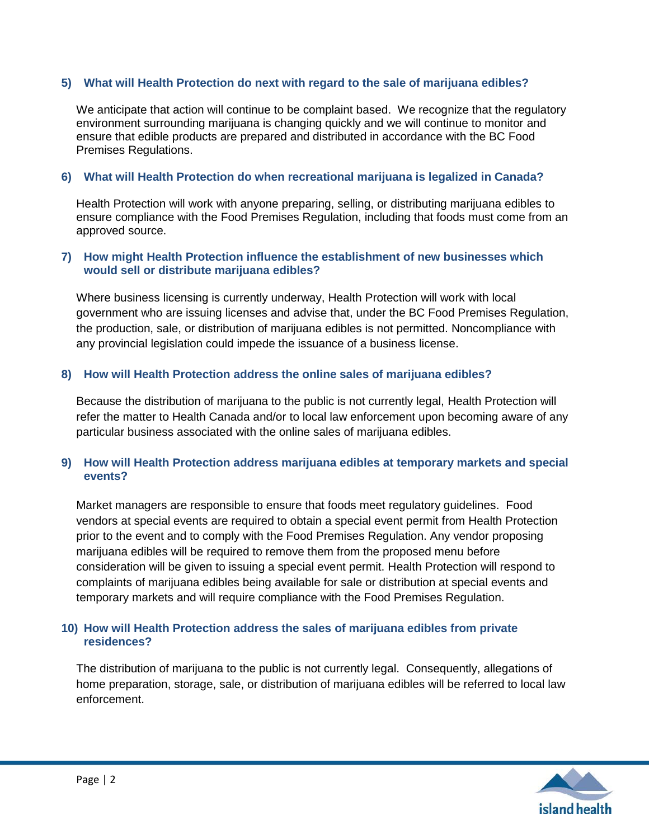# **5) What will Health Protection do next with regard to the sale of marijuana edibles?**

We anticipate that action will continue to be complaint based. We recognize that the regulatory environment surrounding marijuana is changing quickly and we will continue to monitor and ensure that edible products are prepared and distributed in accordance with the BC Food Premises Regulations.

### **6) What will Health Protection do when recreational marijuana is legalized in Canada?**

Health Protection will work with anyone preparing, selling, or distributing marijuana edibles to ensure compliance with the Food Premises Regulation, including that foods must come from an approved source.

### **7) How might Health Protection influence the establishment of new businesses which would sell or distribute marijuana edibles?**

Where business licensing is currently underway, Health Protection will work with local government who are issuing licenses and advise that, under the BC Food Premises Regulation, the production, sale, or distribution of marijuana edibles is not permitted. Noncompliance with any provincial legislation could impede the issuance of a business license.

### **8) How will Health Protection address the online sales of marijuana edibles?**

Because the distribution of marijuana to the public is not currently legal, Health Protection will refer the matter to Health Canada and/or to local law enforcement upon becoming aware of any particular business associated with the online sales of marijuana edibles.

# **9) How will Health Protection address marijuana edibles at temporary markets and special events?**

Market managers are responsible to ensure that foods meet regulatory guidelines. Food vendors at special events are required to obtain a special event permit from Health Protection prior to the event and to comply with the Food Premises Regulation. Any vendor proposing marijuana edibles will be required to remove them from the proposed menu before consideration will be given to issuing a special event permit. Health Protection will respond to complaints of marijuana edibles being available for sale or distribution at special events and temporary markets and will require compliance with the Food Premises Regulation.

# **10) How will Health Protection address the sales of marijuana edibles from private residences?**

The distribution of marijuana to the public is not currently legal. Consequently, allegations of home preparation, storage, sale, or distribution of marijuana edibles will be referred to local law enforcement.